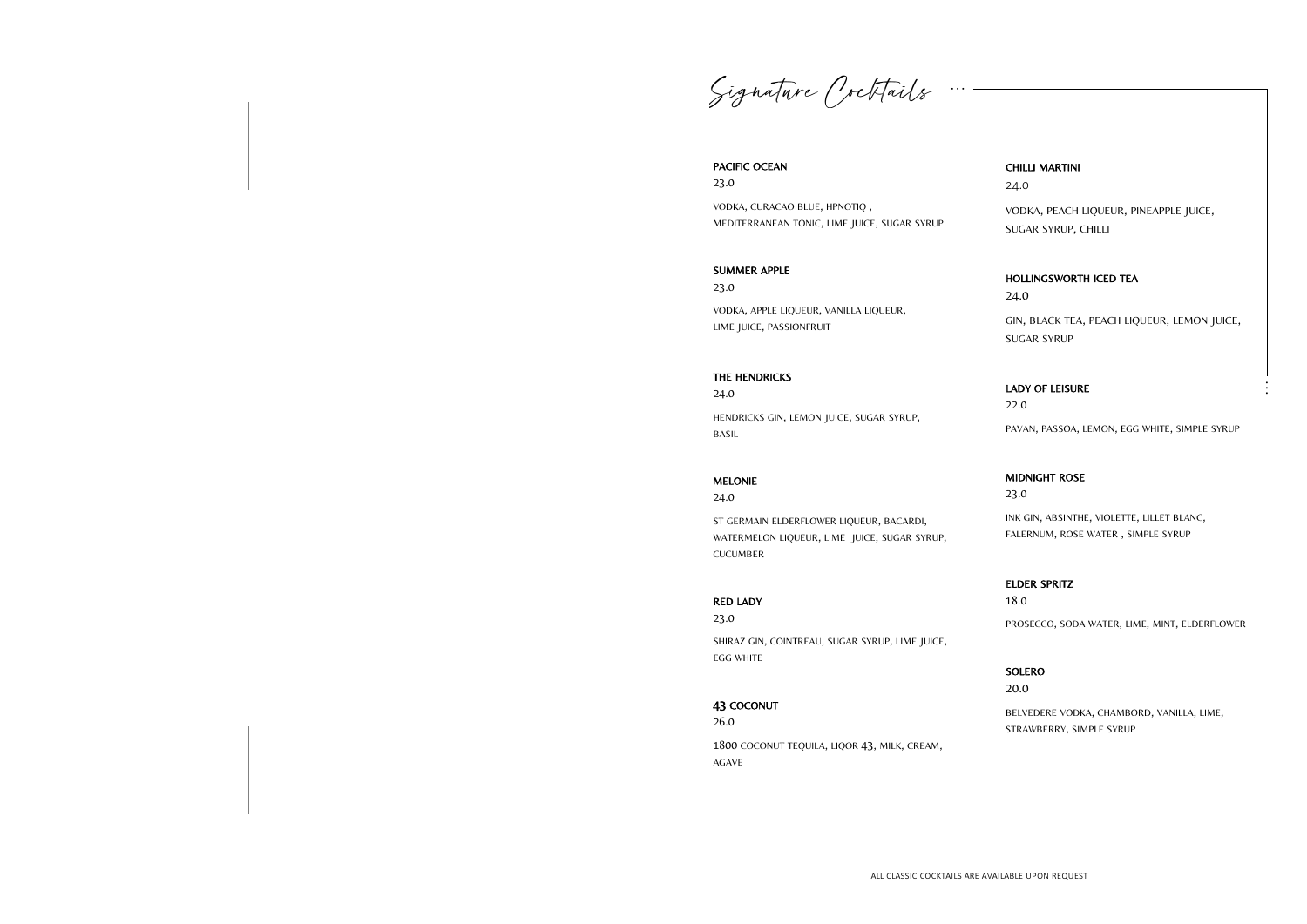Signature Crittails

#### PACIFIC OCEAN

23.0

VODKA, CURACAO BLUE, HPNOTIQ , MEDITERRANEAN TONIC, LIME JUICE, SUGAR SYRUP

#### SUMMER APPLE

23.0

VODKA, APPLE LIQUEUR, VANILLA LIQUEUR, LIME JUICE, PASSIONFRUIT

#### THE HENDRICKS

24.0

HENDRICKS GIN, LEMON JUICE, SUGAR SYRUP, BASIL

#### MELONIE

24.0

ST GERMAIN ELDERFLOWER LIQUEUR, BACARDI, WATERMELON LIQUEUR, LIME JUICE, SUGAR SYRUP, CUCUMBER

#### RED LADY

23.0

SHIRAZ GIN, COINTREAU, SUGAR SYRUP, LIME JUICE, EGG WHITE

#### 43 COCONUT

26.0 1800 COCONUT TEQUILA, LIQOR 43, MILK, CREAM, AGAVE

#### CHILLI MARTINI

24.0

VODKA, PEACH LIQUEUR, PINEAPPLE JUICE, SUGAR SYRUP, CHILLI

#### HOLLINGSWORTH ICED TEA

24.0

GIN, BLACK TEA, PEACH LIQUEUR, LEMON JUICE, SUGAR SYRUP

#### LADY OF LEISURE

22.0

PAVAN, PASSOA, LEMON, EGG WHITE, SIMPLE SYRUP

#### MIDNIGHT ROSE

23.0

INK GIN, ABSINTHE, VIOLETTE, LILLET BLANC, FALERNUM, ROSE WATER , SIMPLE SYRUP

#### ELDER SPRITZ

18.0 PROSECCO, SODA WATER, LIME, MINT, ELDERFLOWER

#### SOLERO

20.0

BELVEDERE VODKA, CHAMBORD, VANILLA, LIME, STRAWBERRY, SIMPLE SYRUP

**. . .**

**. . .**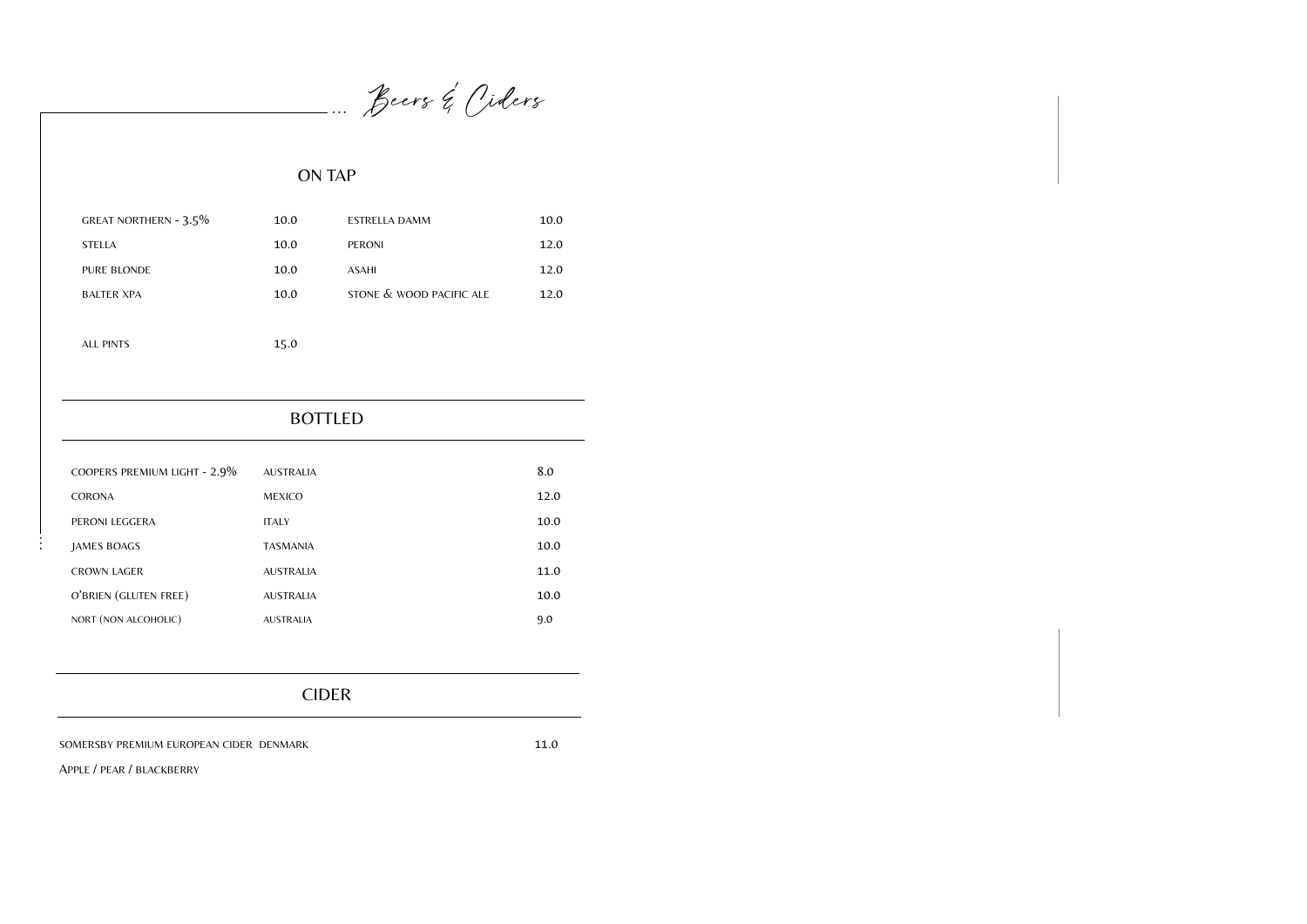## BOTTLED

| GREAT NORTHERN - 3.5% | 10.0 | ESTRELLA DAMM            | 10.0 |
|-----------------------|------|--------------------------|------|
| <b>STELLA</b>         | 10.0 | <b>PERONI</b>            | 12.0 |
| <b>PURE BLONDE</b>    | 10.0 | <b>ASAHI</b>             | 12.0 |
| <b>BALTER XPA</b>     | 10.0 | STONE & WOOD PACIFIC ALE | 12.0 |
|                       |      |                          |      |
| ALL PINTS             | 15.0 |                          |      |

Beers & Oiders

## ON TAP

**. . .**

**. . .**

| COOPERS PREMIUM LIGHT - 2.9% | <b>AUSTRALIA</b> | 8.0  |
|------------------------------|------------------|------|
| <b>CORONA</b>                | <b>MEXICO</b>    | 12.0 |
| PERONI LEGGERA               | <b>ITALY</b>     | 10.0 |
| JAMES BOAGS                  | <b>TASMANIA</b>  | 10.0 |
| <b>CROWN LAGER</b>           | <b>AUSTRALIA</b> | 11.0 |
| O'BRIEN (GLUTEN FREE)        | <b>AUSTRALIA</b> | 10.0 |
| NORT (NON ALCOHOLIC)         | <b>AUSTRALIA</b> | 9.0  |

## CIDER

SOMERSBY PREMIUM EUROPEAN CIDER DENMARK 11.0

APPLE / PEAR / BLACKBERRY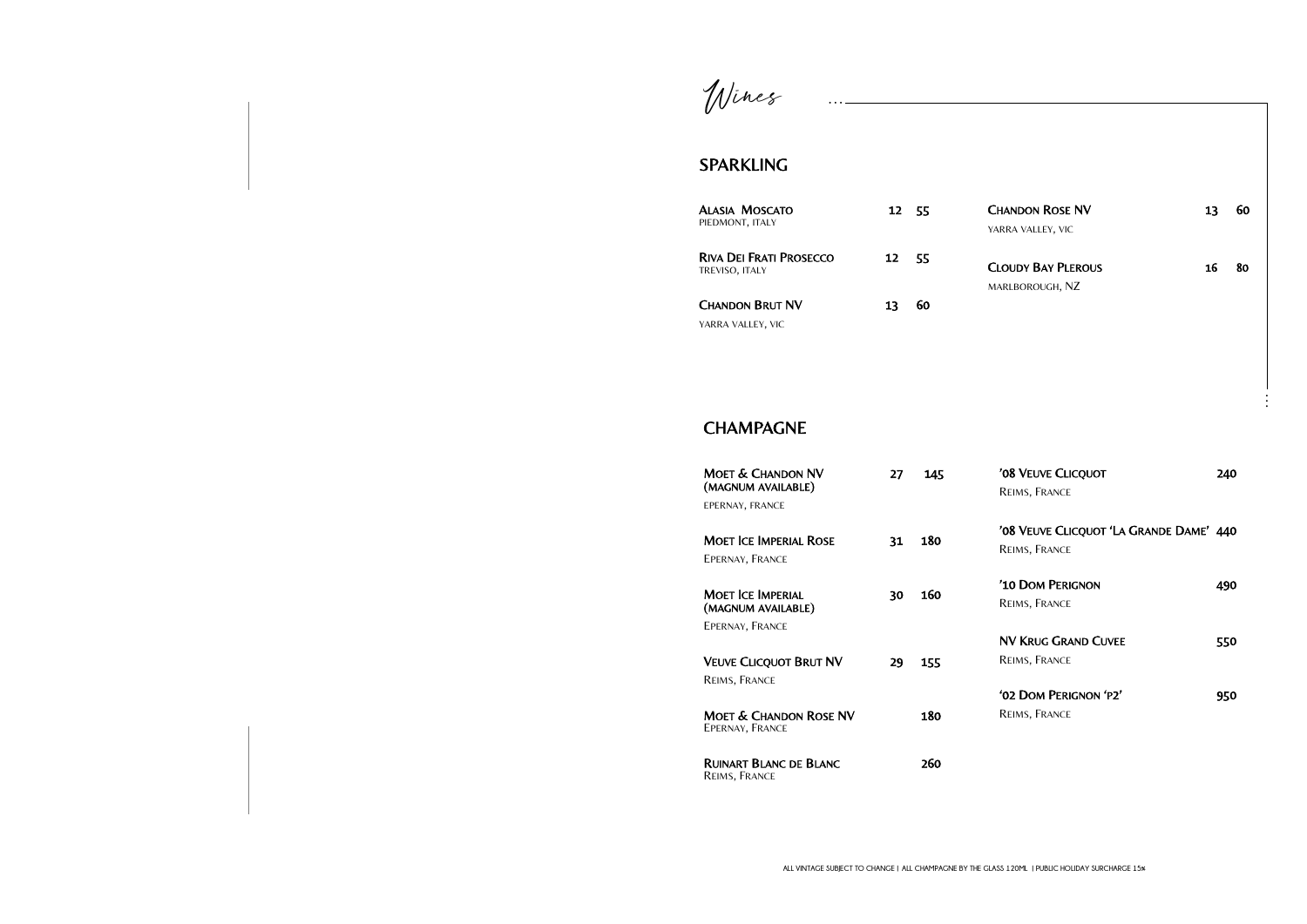Wines

## SPARKLING

| Moet & Chandon NV<br>(MAGNUM AVAILABLE)              | 27 | 145 |
|------------------------------------------------------|----|-----|
| EPERNAY, FRANCE                                      |    |     |
| Moet Ice Imperial Rose                               | 31 | 180 |
| EPERNAY, FRANCE                                      |    |     |
| Moet Ice Imperial.<br>(MAGNUM AVAILABLE)             | 30 | 160 |
| EPERNAY, FRANCE                                      |    |     |
| <b>VEUVE CLICQUOT BRUT NV</b>                        | 29 | 155 |
| Reims, France                                        |    |     |
| <b>MOET &amp; CHANDON ROSE NV</b><br>EPERNAY, FRANCE |    | 180 |
| Ruinart Blanc de Blanc<br>Reims, France              |    | 260 |

| <b>CHANDON ROSE NV</b><br>YARRA VALLEY, VIC              | 13 <sup>7</sup> | 60 |
|----------------------------------------------------------|-----------------|----|
| <b>CLOUDY BAY PLEROUS</b><br>MARLBOROUGH, NZ             | 16              | 80 |
| '08 VEUVE CLICQUOT<br>REIMS, FRANCE                      | 240             |    |
| '08 VEUVE CLICQUOT 'LA GRANDE DAME' 440<br>REIMS, FRANCE |                 |    |
| '10 DOM PERIGNON<br>REIMS, FRANCE                        | 490             |    |
| <b>NV KRUG GRAND CUVEE</b><br>REIMS, FRANCE              | 550             |    |
| '02 DOM PERIGNON 'P2'<br>REIMS, FRANCE                   | 950             |    |

| <b>ALASIA MOSCATO</b><br>PIEDMONT, ITALY                | 12 55 |    |
|---------------------------------------------------------|-------|----|
| <b>RIVA DEI FRATI PROSECCO</b><br><b>TREVISO, ITALY</b> | 12    | 55 |
| <b>CHANDON BRUT NV</b><br>YARRA VALLEY, VIC             | 13    | 60 |

**. . .**

## **CHAMPAGNE**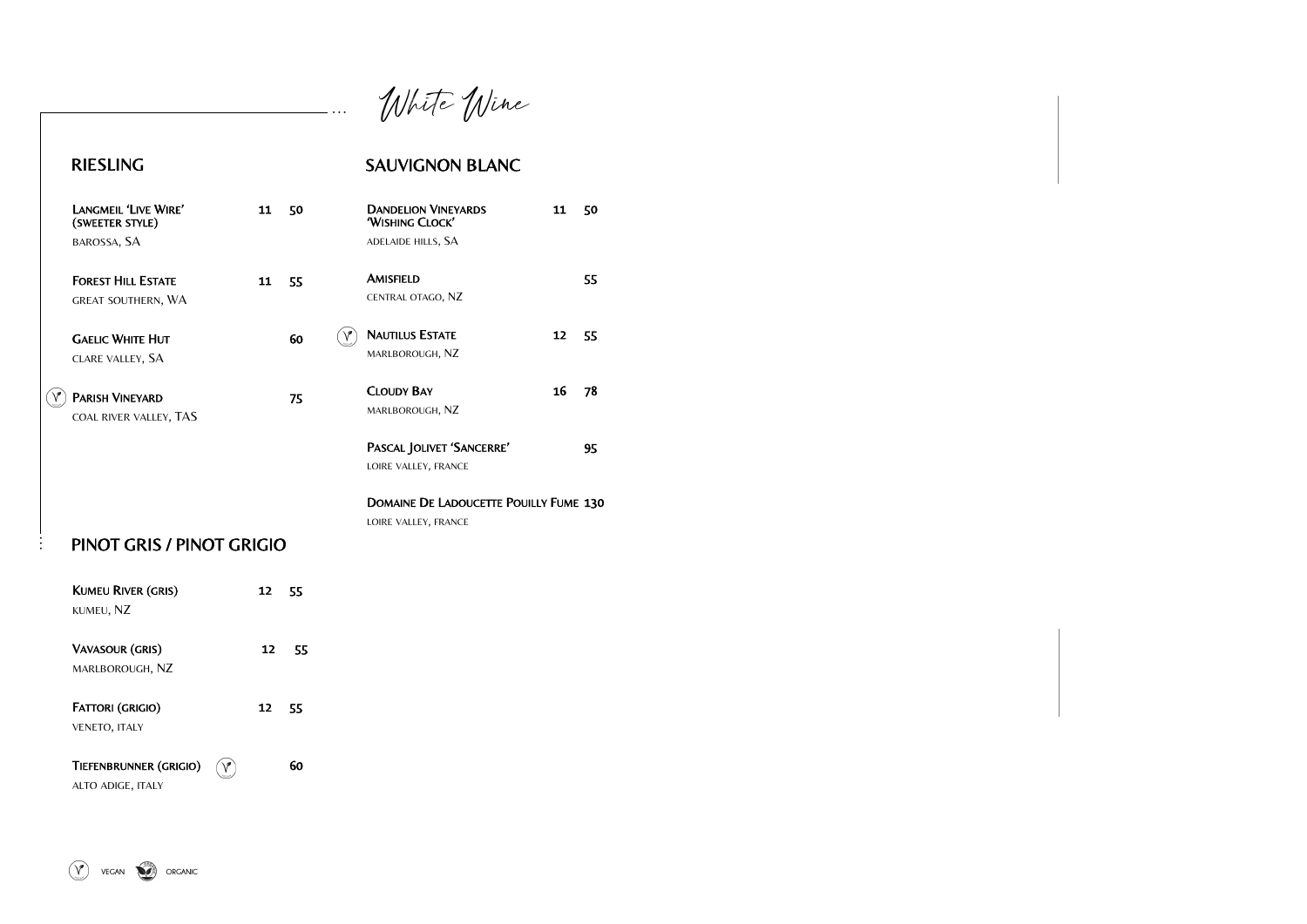**. . .**

**. . .**

White Wine

## RIESLING

| LANGMEIL 'LIVE WIRE'<br>(SWEETER STYLE) | 11 | 50 | <b>DANDELION VINEYARDS</b><br>'WISHING CLOCK' | 11 | 50 |
|-----------------------------------------|----|----|-----------------------------------------------|----|----|
| BAROSSA, SA                             |    |    | ADELAIDE HILLS, SA                            |    |    |
| <b>FOREST HILL ESTATE</b>               | 11 | 55 | <b>AMISFIELD</b>                              |    | 55 |
| <b>GREAT SOUTHERN, WA</b>               |    |    | CENTRAL OTAGO, NZ                             |    |    |
| <b>GAELIC WHITE HUT</b>                 |    | 60 | <b>NAUTILUS ESTATE</b>                        | 12 | 55 |
| CLARE VALLEY, SA                        |    |    | MARLBOROUGH, NZ                               |    |    |
| <b>PARISH VINEYARD</b>                  |    | 75 | <b>CLOUDY BAY</b>                             | 16 | 78 |
| COAL RIVER VALLEY, TAS                  |    |    | MARLBOROUGH, NZ                               |    |    |
|                                         |    |    | PASCAL JOLIVET 'SANCERRE'                     |    | 95 |
|                                         |    |    | LOIRE VALLEY, FRANCE                          |    |    |
|                                         |    |    | <b>DOMAINE DE LADOUCETTE POUILLY FUME 130</b> |    |    |
|                                         |    |    | LOIRE VALLEY, FRANCE                          |    |    |
| PINOT GRIS / PINOT GRIGIO               |    |    |                                               |    |    |
| <b>KUMEU RIVER (GRIS)</b>               | 12 | 55 |                                               |    |    |
| KUMEU, NZ                               |    |    |                                               |    |    |

TIEFENBRUNNER (GRIGIO)  $\qquad \qquad \qquad \qquad \qquad$  60 ALTO ADIGE, ITALY

## SAUVIGNON BLANC

| <b>VAVASOUR (GRIS)</b>  | 12 | 55 |
|-------------------------|----|----|
| MARLBOROUGH, NZ         |    |    |
|                         |    |    |
| <b>FATTORI (GRIGIO)</b> | 12 | 55 |
| <b>VENETO, ITALY</b>    |    |    |
|                         |    |    |
|                         |    |    |

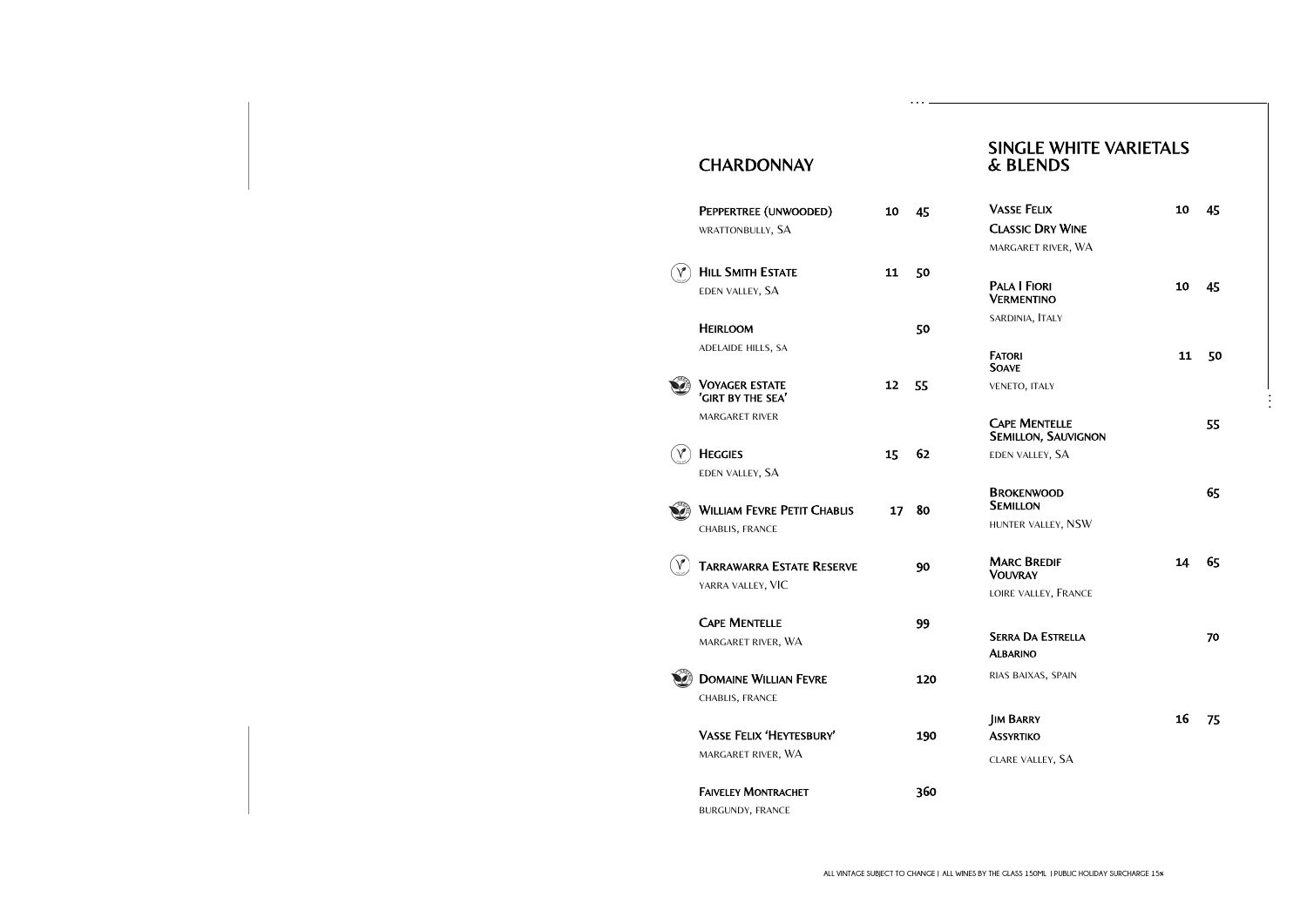| <b>VASSE FELIX</b>                                 | 10 -  | 45 |
|----------------------------------------------------|-------|----|
| <b>CLASSIC DRY WINE</b>                            |       |    |
| MARGARET RIVER, WA                                 |       |    |
| <b>PALA I FIORI</b><br><b>VERMENTINO</b>           | 10 45 |    |
| SARDINIA, ITALY                                    |       |    |
| <b>FATORI</b><br><b>SOAVE</b>                      | 11    | 50 |
| VENETO, ITALY                                      |       |    |
|                                                    |       |    |
| <b>CAPE MENTELLE</b><br><b>SEMILLON, SAUVIGNON</b> |       | 55 |
| EDEN VALLEY, SA                                    |       |    |
|                                                    |       |    |
| <b>BROKENWOOD</b><br><b>SEMILLON</b>               |       | 65 |
| HUNTER VALLEY, NSW                                 |       |    |
| <b>MARC BREDIF</b><br><b>VOUVRAY</b>               | 14    | 65 |
| LOIRE VALLEY, FRANCE                               |       |    |
|                                                    |       |    |
| <b>SERRA DA ESTRELLA</b><br><b>ALBARINO</b>        |       | 70 |
| RIAS BAIXAS, SPAIN                                 |       |    |
|                                                    |       |    |
| <b>JIM BARRY</b><br><b>ASSYRTIKO</b>               | 16 75 |    |

### SINGLE WHITE VARIETALS & BLENDS

## **CHARDONNAY**

| PEPPERTREE (UNWOODED)                      | 10              | 45  | <b>VASSE FELIX</b>                                 | 10 | 45 |
|--------------------------------------------|-----------------|-----|----------------------------------------------------|----|----|
| WRATTONBULLY, SA                           |                 |     | <b>CLASSIC DRY WINE</b>                            |    |    |
|                                            |                 |     | MARGARET RIVER, WA                                 |    |    |
| <b>HILL SMITH ESTATE</b>                   | 11              | 50  |                                                    |    |    |
| EDEN VALLEY, SA                            |                 |     | <b>PALA I FIORI</b><br><b>VERMENTINO</b>           | 10 | 45 |
| <b>HEIRLOOM</b>                            |                 | 50  | SARDINIA, ITALY                                    |    |    |
| ADELAIDE HILLS, SA                         |                 |     | <b>FATORI</b><br><b>SOAVE</b>                      | 11 | 50 |
| <b>VOYAGER ESTATE</b><br>'GIRT BY THE SEA' | 12              | 55  | VENETO, ITALY                                      |    |    |
| <b>MARGARET RIVER</b>                      |                 |     | <b>CAPE MENTELLE</b><br><b>SEMILLON, SAUVIGNON</b> |    | 55 |
| <b>HEGGIES</b>                             | 15              | 62  | EDEN VALLEY, SA                                    |    |    |
| EDEN VALLEY, SA                            |                 |     |                                                    |    |    |
|                                            |                 |     | <b>BROKENWOOD</b><br><b>SEMILLON</b>               |    | 65 |
| <b>WILLIAM FEVRE PETIT CHABLIS</b>         | 17 <sup>2</sup> | 80  | HUNTER VALLEY, NSW                                 |    |    |
| CHABLIS, FRANCE                            |                 |     |                                                    |    |    |
| <b>TARRAWARRA ESTATE RESERVE</b>           |                 | 90  | <b>MARC BREDIF</b><br><b>VOUVRAY</b>               | 14 | 65 |
| YARRA VALLEY, VIC                          |                 |     | LOIRE VALLEY, FRANCE                               |    |    |
| <b>CAPE MENTELLE</b>                       |                 |     |                                                    |    |    |
| MARGARET RIVER, WA                         |                 | 99  | <b>SERRA DA ESTRELLA</b>                           |    | 70 |
|                                            |                 |     | <b>ALBARINO</b>                                    |    |    |
| <b>DOMAINE WILLIAN FEVRE</b>               |                 | 120 | RIAS BAIXAS, SPAIN                                 |    |    |
| CHABLIS, FRANCE                            |                 |     |                                                    |    |    |
|                                            |                 |     | <b>JIM BARRY</b>                                   | 16 | 75 |
| <b>VASSE FELIX 'HEYTESBURY'</b>            |                 | 190 | <b>ASSYRTIKO</b>                                   |    |    |
| MARGARET RIVER, WA                         |                 |     | CLARE VALLEY, SA                                   |    |    |
|                                            |                 |     |                                                    |    |    |
| <b>FAIVELEY MONTRACHET</b>                 |                 | 360 |                                                    |    |    |
| BURGUNDY, FRANCE                           |                 |     |                                                    |    |    |
|                                            |                 |     |                                                    |    |    |

**. . .**

**ALL VINTAGE SUBJECT TO CHANGE | ALL WINES BY THE GLASS 150ML | PUBLIC HOLIDAY SURCHARGE 15%**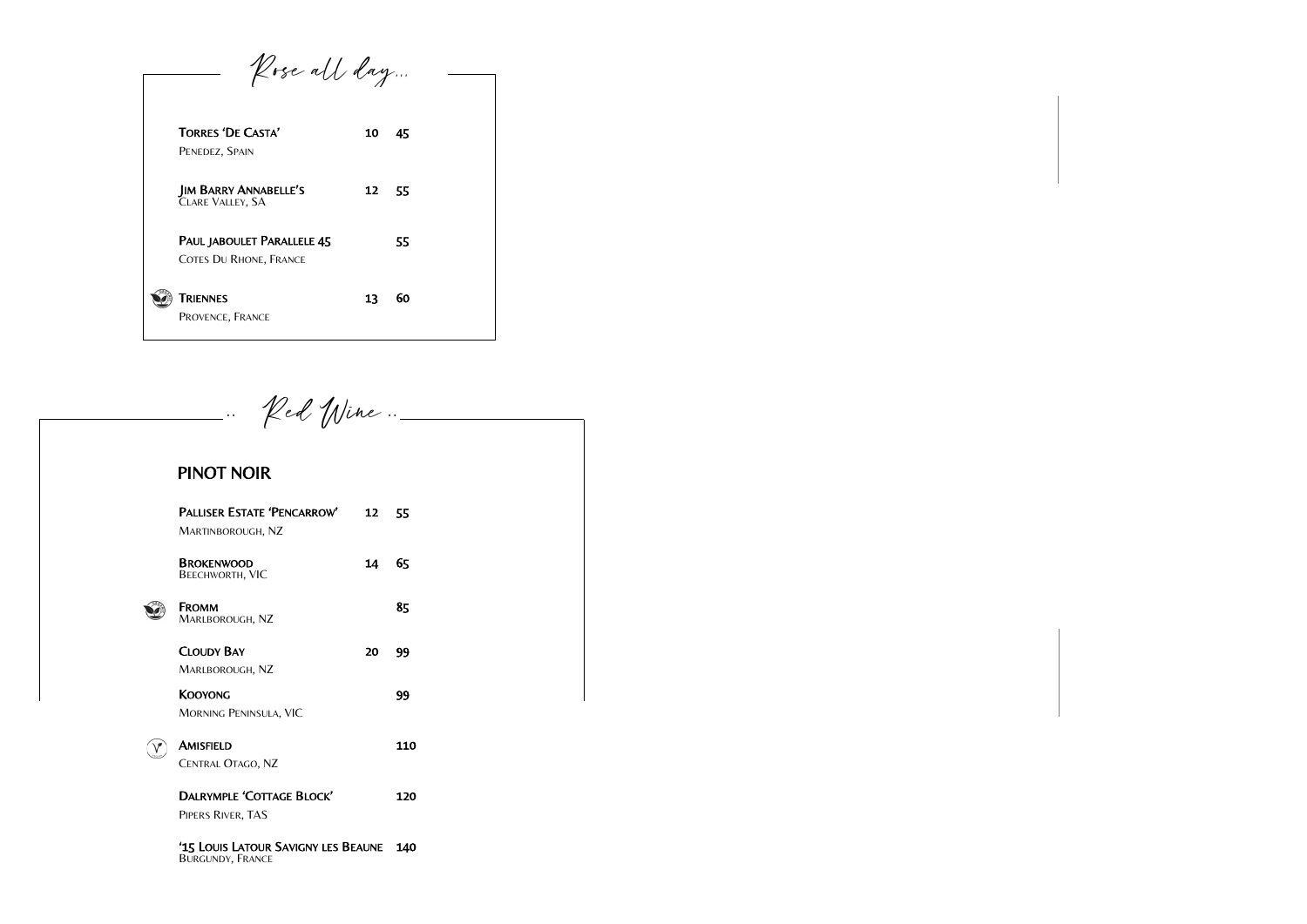| Rose all day                                                |    |    |  |
|-------------------------------------------------------------|----|----|--|
| <b>TORRES 'DE CASTA'</b><br>PENEDEZ, SPAIN                  | 10 | 45 |  |
| <b>JIM BARRY ANNABELLE'S</b><br>CLARE VALLEY, SA            | 12 | 55 |  |
| PAUL JABOULET PARALLELE 45<br><b>COTES DU RHONE, FRANCE</b> |    | 55 |  |
| Triennes<br>PROVENCE, FRANCE                                | 13 | 60 |  |

 $\mathcal{V}$ ed Wine ..\_ **. .**  PINOT NOIR PALLISER ESTATE 'PENCARROW' 12 55 MARTINBOROUGH, NZ BROKENWOOD 14 65 BEECHWORTH, VIC FROMM 85 Û MARLBOROUGH, NZ CLOUDY BAY 20 99 MARLBOROUGH, NZ KOOYONG 99 MORNING PENINSULA, VIC AMISFIELD 110  $\bigcirc$ CENTRAL OTAGO, NZ DALRYMPLE 'COTTAGE BLOCK' 120 PIPERS RIVER, TAS '15 LOUIS LATOUR SAVIGNY LES BEAUNE 140 BURGUNDY, FRANCE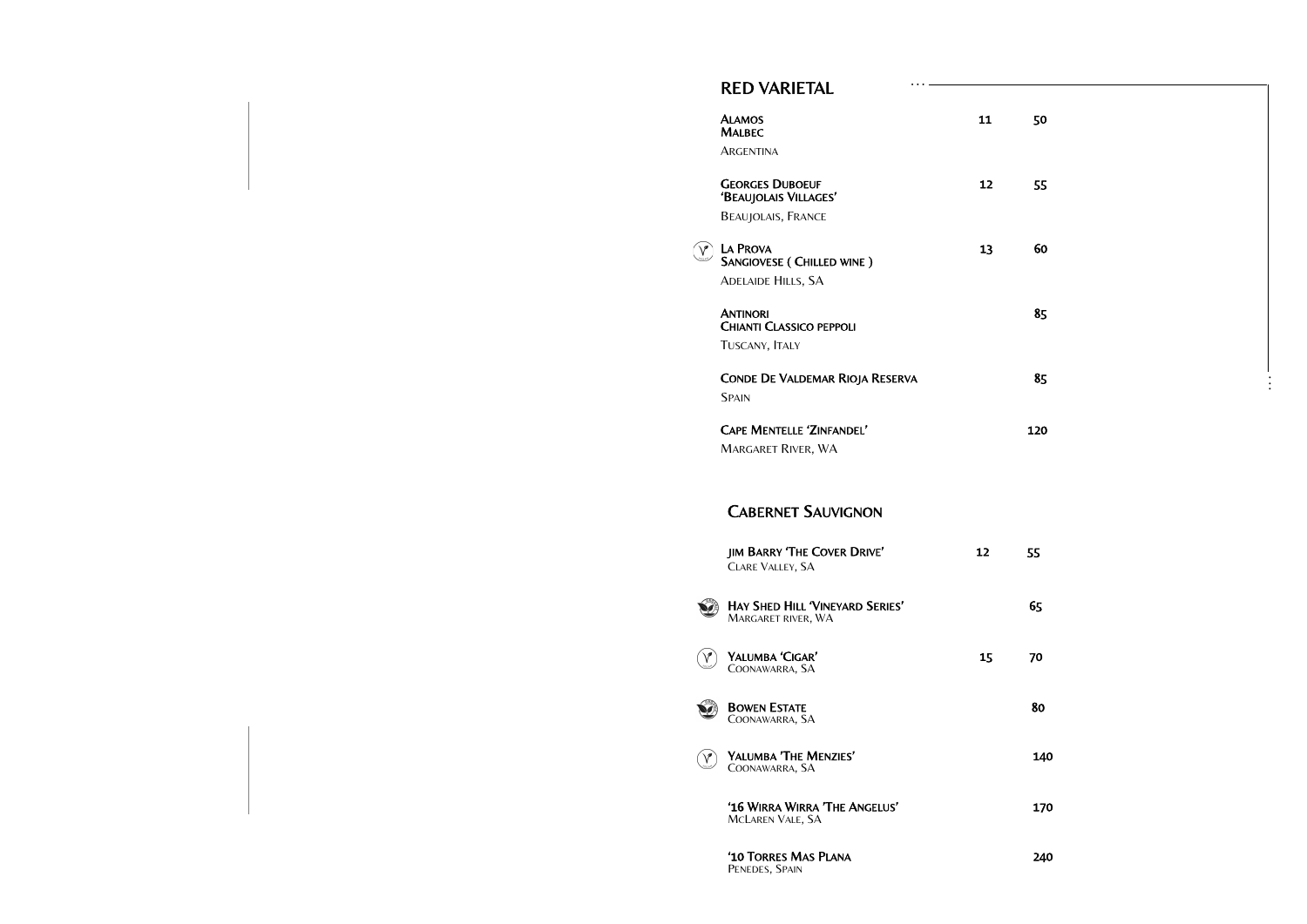| $\mathbf{1}$            | 50  |  |  |          |
|-------------------------|-----|--|--|----------|
| $\overline{\mathbf{c}}$ | 55  |  |  |          |
| 3                       | 60  |  |  |          |
|                         | 85  |  |  |          |
|                         | 85  |  |  | $\vdots$ |
|                         | 120 |  |  |          |
|                         |     |  |  |          |
| $\overline{\mathbf{r}}$ | 55  |  |  |          |
|                         | 65  |  |  |          |
| 5                       | 70  |  |  |          |
|                         | 80  |  |  |          |
|                         | 140 |  |  |          |
|                         | 170 |  |  |          |
|                         | 240 |  |  |          |

**. . .**

### CABERNET SAUVIGNON

JIM BARRY 'THE COVER DRIVE' 12 CLARE VALLEY, SA

Û HAY SHED HILL 'VINEYARD SERIES' 65 MARGARET RIVER, WA

 $(\widehat{\mathsf{v}})$ YALUMBA 'CIGAR' 15

COONAWARRA, SA



 $\mathcal{P}$ YALUMBA 'THE MENZIES'

GEORGES DUBOEUF 12 'BEAUJOLAIS VILLAGES'

COONAWARRA, SA

 $\widehat{\mathsf{v}}$ LA PROVA 23 60 SANGIOVESE ( CHILLED WINE )

'16 WIRRA WIRRA 'THE ANGELUS' 170 MCLAREN VALE, SA

**ANTINORI** CHIANTI CLASSICO PEPPOLI TUSCANY, ITALY

CONDE DE VALDEMAR RIOJA RESERVA SPAIN

'10 TORRES MAS PLANA 240 PENEDES, SPAIN

**CAPE MENTELLE 'ZINFANDEL'** MARGARET RIVER, WA

#### RED VARIETAL

| <b>ALAMOS</b> | 11 | 50 |
|---------------|----|----|
| <b>MALBEC</b> |    |    |
| ARGENTINA     |    |    |

BEAUJOLAIS, FRANCE

ADELAIDE HILLS, SA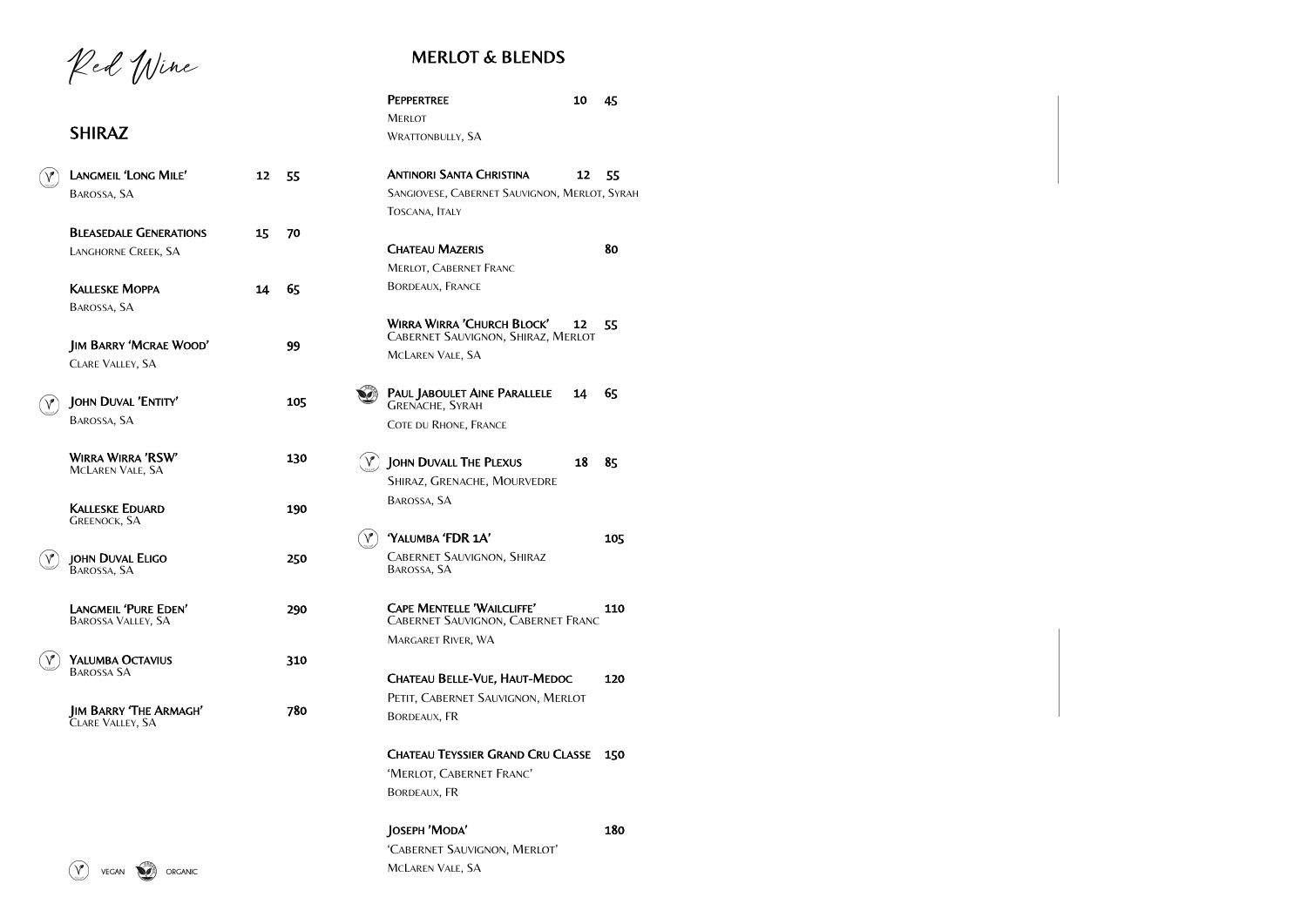## MERLOT & BLENDS

|               | LANGMEIL 'LONG MILE'<br>BAROSSA, SA                      | 12 | 55  |
|---------------|----------------------------------------------------------|----|-----|
|               | <b>BLEASEDALE GENERATIONS</b><br>LANGHORNE CREEK, SA     | 15 | 70  |
|               | <b>KALLESKE MOPPA</b><br>BAROSSA, SA                     | 14 | 65  |
|               | <b>JIM BARRY 'MCRAE WOOD'</b><br><b>CLARE VALLEY, SA</b> |    | 99  |
|               | JOHN DUVAL 'ENTITY'<br>BAROSSA, SA                       |    | 105 |
|               | WIRRA WIRRA 'RSW'<br><b>MCLAREN VALE, SA</b>             |    | 130 |
|               | <b>KALLESKE EDUARD</b><br><b>GREENOCK, SA</b>            |    | 190 |
|               | JOHN DUVAL ELIGO<br>BAROSSA, SA                          |    | 250 |
|               | LANGMEIL 'PURE EDEN'<br><b>BAROSSA VALLEY, SA</b>        |    | 290 |
| $\sim$ $\sim$ | YALUMBA OCTAVIUS<br><b>BAROSSA SA</b>                    |    | 310 |
|               | <b>JIM BARRY 'THE ARMAGH'</b><br>CLARE VALLEY, SA        |    | 780 |
|               |                                                          |    |     |

Red Wine

## SHIRAZ

| <b>PEPPERTREE</b>                                                                                           | 10 | 45  |
|-------------------------------------------------------------------------------------------------------------|----|-----|
| Merlot                                                                                                      |    |     |
| <b>WRATTONBULLY, SA</b>                                                                                     |    |     |
| <b>ANTINORI SANTA CHRISTINA</b>                                                                             | 12 | 55  |
| SANGIOVESE, CABERNET SAUVIGNON, MERLOT, SYRAH                                                               |    |     |
| TOSCANA, ITALY                                                                                              |    |     |
| <b>CHATEAU MAZERIS</b>                                                                                      |    | 80  |
| <b>MERLOT, CABERNET FRANC</b>                                                                               |    |     |
| BORDEAUX, FRANCE                                                                                            |    |     |
| <b>WIRRA WIRRA 'CHURCH BLOCK'</b><br><b>CABERNET SAUVIGNON, SHIRAZ, MERLOT</b>                              | 12 | 55  |
| <b>MCLAREN VALE, SA</b>                                                                                     |    |     |
| PAUL JABOULET AINE PARALLELE<br><b>GRENACHE, SYRAH</b>                                                      | 14 | 65  |
| COTE DU RHONE, FRANCE                                                                                       |    |     |
| JOHN DUVALL THE PLEXUS                                                                                      | 18 | 85  |
| SHIRAZ, GRENACHE, MOURVEDRE                                                                                 |    |     |
| BAROSSA, SA                                                                                                 |    |     |
| 'YALUMBA 'FDR 1A'                                                                                           |    | 105 |
| <b>CABERNET SAUVIGNON, SHIRAZ</b><br>BAROSSA, SA                                                            |    |     |
| <b>CAPE MENTELLE 'WAILCLIFFE'</b><br><b>CABERNET SAUVIGNON, CABERNET FRANC</b><br><b>MARGARET RIVER, WA</b> |    | 110 |
| CHATEAU BELLE-VUE, HAUT-MEDOC<br>PETIT, CABERNET SAUVIGNON, MERLOT                                          |    | 120 |
| <b>BORDEAUX, FR</b>                                                                                         |    |     |
| <b>CHATEAU TEYSSIER GRAND CRU CLASSE</b>                                                                    |    | 150 |
| 'MERLOT, CABERNET FRANC'                                                                                    |    |     |
| BORDEAUX, FR                                                                                                |    |     |
| JOSEPH 'MODA'                                                                                               |    | 180 |
| 'CABERNET SAUVIGNON, MERLOT'                                                                                |    |     |

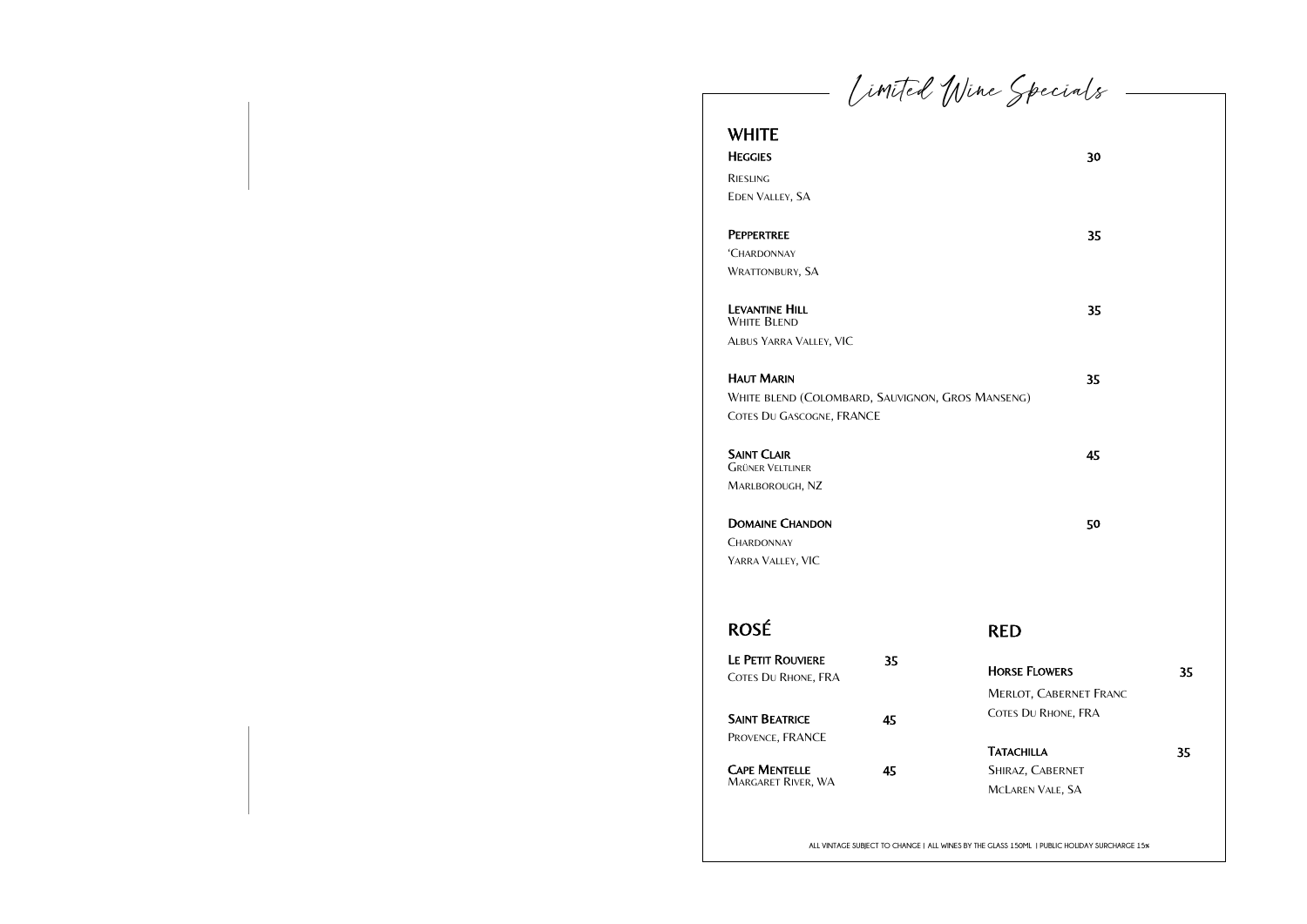Limited Wind

## WHITE

**HEGGIES** 

RIESLING EDEN VALLEY, SA

#### **PEPPERTREE**

LEVANTINE HILL WHITE BLEND ALBUS YARRA VALLEY, VIC

### **HAUT MARIN**

'CHARDONNAY WRATTONBURY, SA

WHITE BLEND (COLOMBARD, SAUVIGNON, GROS MA COTES DU GASCOGNE, FRANCE

#### **SAINT CLAIR**

**CHARDONNAY** YARRA VALLEY, VIC

GRÜNER VELTLINER MARLBOROUGH, NZ

#### DOMAINE CHANDON

| e Specials                                                                          |                                           |    |
|-------------------------------------------------------------------------------------|-------------------------------------------|----|
|                                                                                     | 30                                        |    |
|                                                                                     | 35                                        |    |
|                                                                                     | 35                                        |    |
| ANSENG)                                                                             | 35                                        |    |
|                                                                                     | 45                                        |    |
|                                                                                     | 50                                        |    |
| <b>RED</b>                                                                          |                                           |    |
| <b>HORSE FLOWERS</b><br><b>MERLOT, CABERNET FRANC</b><br><b>COTES DU RHONE, FRA</b> |                                           | 35 |
| <b>TATACHILLA</b><br>SHIRAZ, CABERNET<br>MCLAREN VALE, SA                           |                                           | 35 |
|                                                                                     | GLASS 150ML LPUBLIC HOLIDAY SURCHARGE 15% |    |

## ROSÉ

| <b>LE PETIT ROUVIERE</b>   | 35 |
|----------------------------|----|
| <b>COTES DU RHONE, FRA</b> |    |
|                            |    |
| <b>SAINT BEATRICE</b>      | 45 |
|                            |    |
| PROVENCE, FRANCE           |    |
|                            |    |
| <b>CAPE MENTELLE</b>       | 45 |
| <b>MARGARET RIVER, WA</b>  |    |

**ALL VINTAGE SUBJECT TO CHANGE | ALL WINES BY THE GLASS 150ML | PUBLIC HOLIDAY SURCHARGE 15%**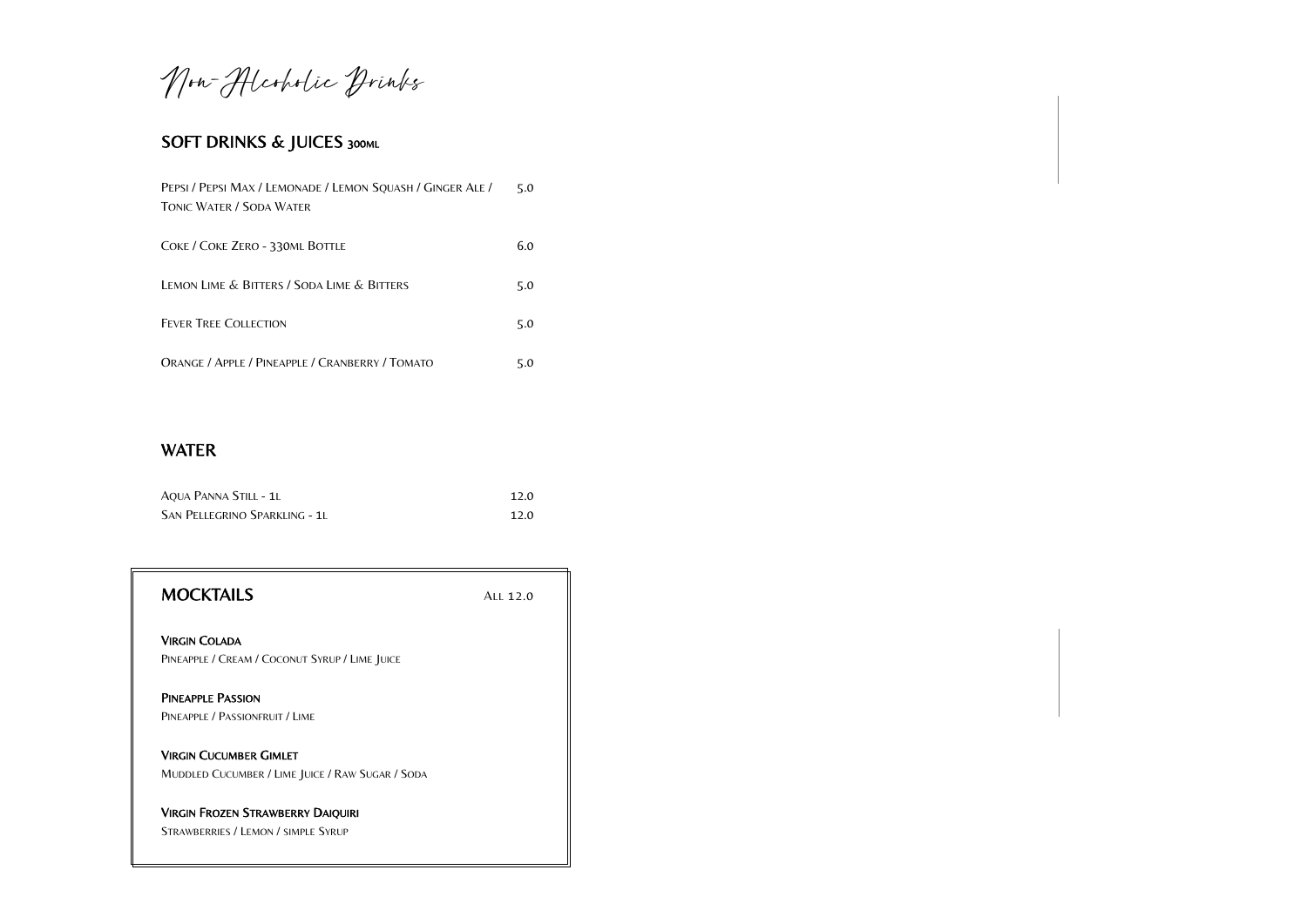Non-Hicoholic Drinks

## SOFT DRINKS & JUICES 300ML

| PEPSI / PEPSI MAX / LEMONADE / LEMON SQUASH / GINGER ALE /<br>TONIC WATER / SODA WATER |     |
|----------------------------------------------------------------------------------------|-----|
| COKE / COKE ZERO - 330ML BOTTLE                                                        | 6.0 |
| LEMON LIME & BITTERS / SODA LIME & BITTERS                                             | 5.0 |
| <b>FEVER TREE COLLECTION</b>                                                           | 5.0 |
| ORANGE / APPLE / PINEAPPLE / CRANBERRY / TOMATO                                        | 5.0 |

## WATER

| AQUA PANNA STILL - 1L                |  |
|--------------------------------------|--|
| <b>SAN PELLEGRINO SPARKLING - 1L</b> |  |

| <b>MOCKTAILS</b>                                                                  | Al1 12.0 |
|-----------------------------------------------------------------------------------|----------|
| <b>VIRGIN COLADA</b><br>PINEAPPLE / CREAM / COCONUT SYRUP / LIME JUICE            |          |
| <b>PINEAPPLE PASSION</b><br>PINEAPPLE / PASSIONFRUIT / LIME                       |          |
| <b>VIRGIN CUCUMBER GIMLET</b><br>MUDDLED CUCUMBER / LIME JUICE / RAW SUGAR / SODA |          |
| <b>VIRGIN FROZEN STRAWBERRY DAIQUIRI</b><br>STRAWBERRIES / LEMON / SIMPLE SYRUP   |          |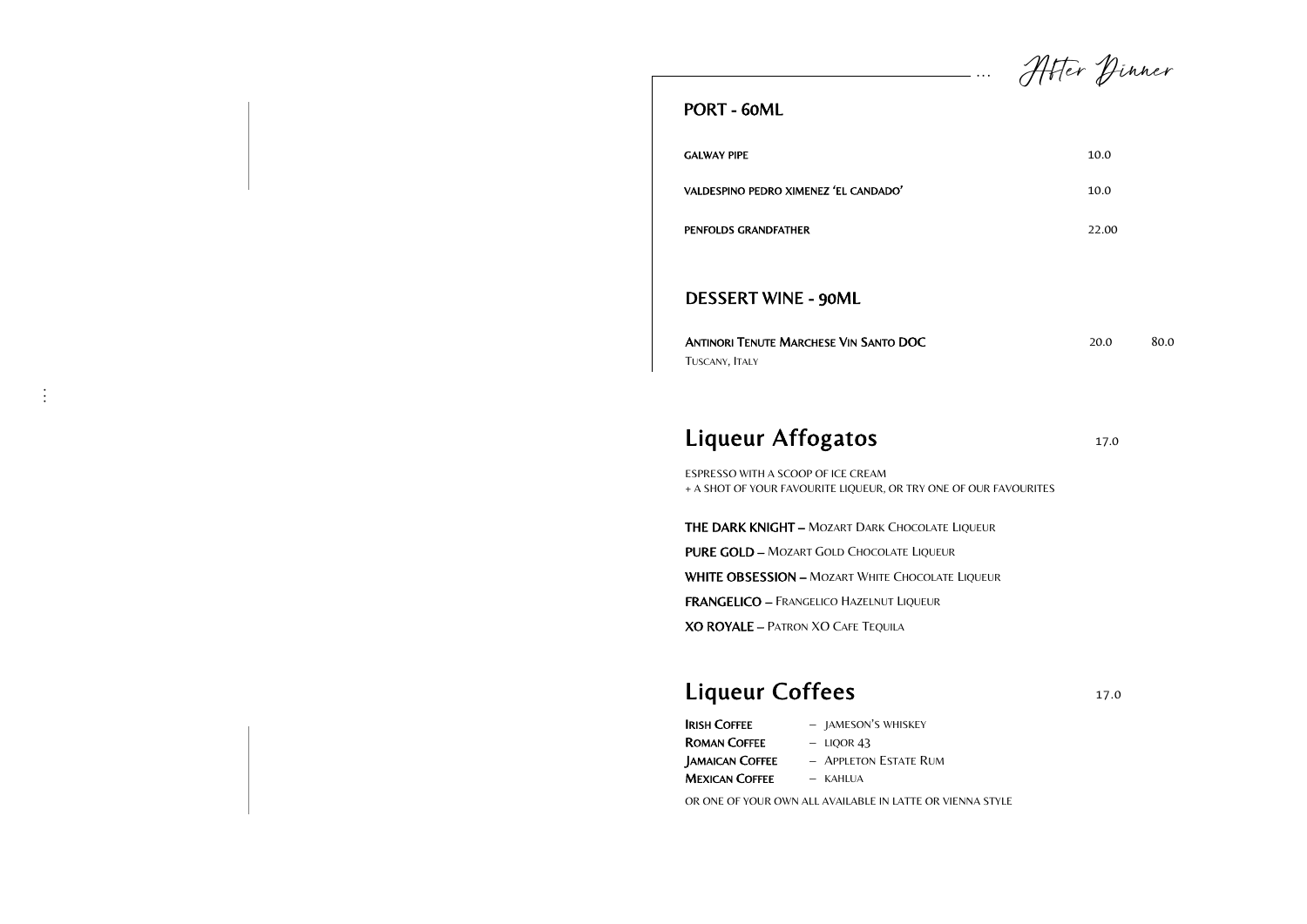ANTINORI TENUTE MARCHESE VIN SANTO DOC 20.0 80.0 TUSCANY, ITALY

## Liqueur Affogatos 17.0

### DESSERT WINE - 90ML

#### PORT - 60ML

GALWAY PIPE 10.0

**. . .**

VALDESPINO PEDRO XIMENEZ 'EL CANDADO' 10.0

PENFOLDS GRANDFATHER 22.00

**. . .**

ESPRESSO WITH A SCOOP OF ICE CREAM + A SHOT OF YOUR FAVOURITE LIQUEUR, OR TRY ONE OF OUR FAVOURITES

THE DARK KNIGHT – MOZART DARK CHOCOLATE LIQUEUR

PURE GOLD – MOZART GOLD CHOCOLATE LIQUEUR

WHITE OBSESSION - MOZART WHITE CHOCOLATE LIQUEUR

FRANGELICO – FRANGELICO HAZELNUT LIQUEUR

XO ROYALE – PATRON XO CAFE TEQUILA

## Liqueur Coffees 17.0

| - JAMESON'S WHISKEY |
|---------------------|
|                     |

- ROMAN COFFEE LIQOR 43
- 
- JAMAICAN COFFEE APPLETON ESTATE RUM
- **MEXICAN COFFEE** KAHLUA

OR ONE OF YOUR OWN ALL AVAILABLE IN LATTE OR VIENNA STYLE

After Dinner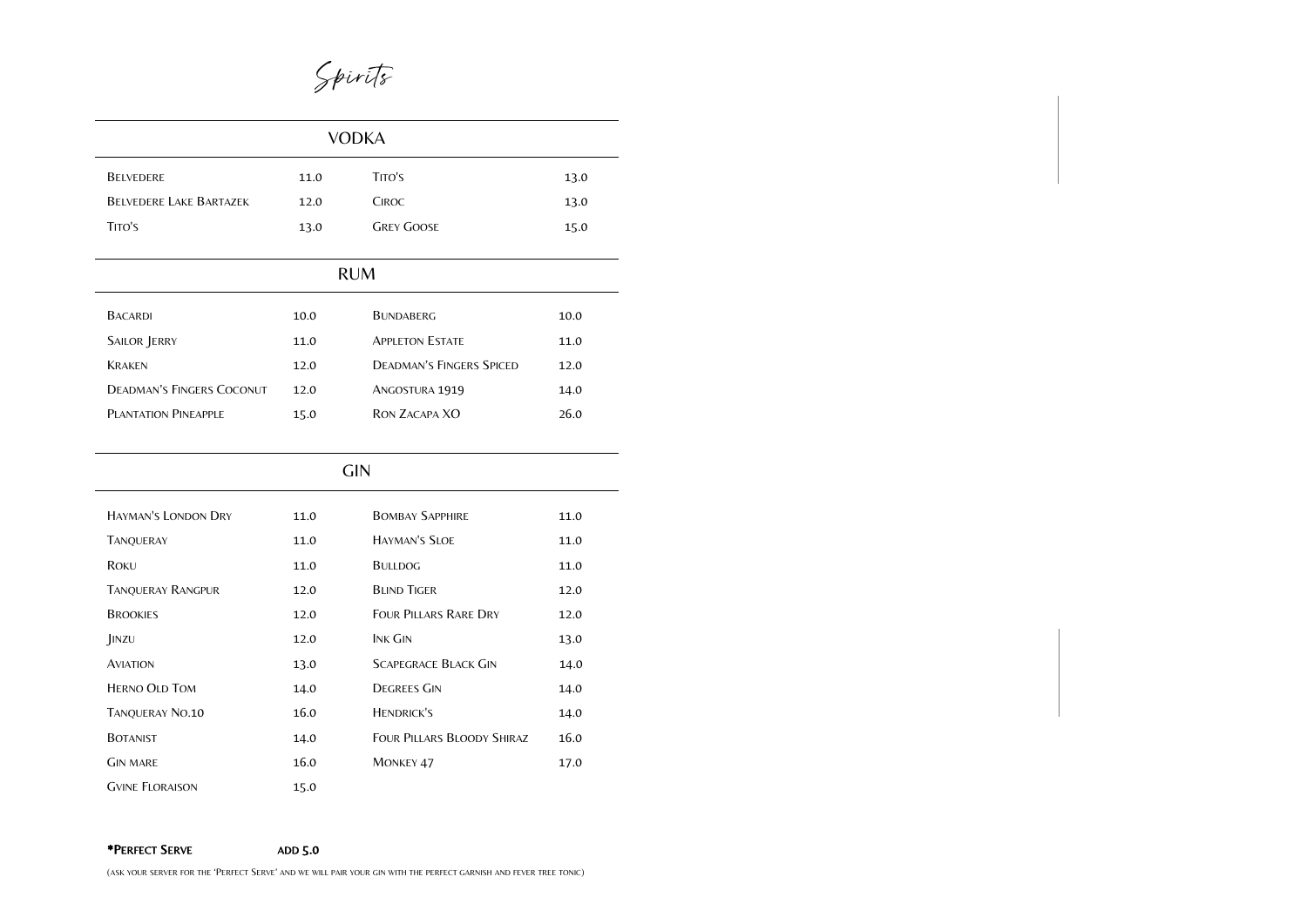

| <b>VODKA</b>                     |      |                                 |      |  |
|----------------------------------|------|---------------------------------|------|--|
| <b>BELVEDERE</b>                 | 11.0 | TITO'S                          | 13.0 |  |
| <b>BELVEDERE LAKE BARTAZEK</b>   | 12.0 | <b>CIROC</b>                    | 13.0 |  |
| TITO'S                           | 13.0 | <b>GREY GOOSE</b>               | 15.0 |  |
|                                  |      |                                 |      |  |
|                                  |      | <b>RUM</b>                      |      |  |
| <b>BACARDI</b>                   | 10.0 | <b>BUNDABERG</b>                | 10.0 |  |
| SAILOR JERRY                     | 11.0 | <b>APPLETON ESTATE</b>          | 11.0 |  |
| <b>KRAKEN</b>                    | 12.0 | <b>DEADMAN'S FINGERS SPICED</b> | 12.0 |  |
| <b>DEADMAN'S FINGERS COCONUT</b> | 12.0 | ANGOSTURA 1919                  | 14.0 |  |
| <b>PLANTATION PINEAPPLE</b>      | 15.0 | <b>RON ZACAPA XO</b>            | 26.0 |  |
|                                  |      |                                 |      |  |

| <b>GIN</b>                 |      |                                   |      |  |
|----------------------------|------|-----------------------------------|------|--|
| <b>HAYMAN'S LONDON DRY</b> | 11.0 | <b>BOMBAY SAPPHIRE</b>            | 11.0 |  |
| <b>TANQUERAY</b>           | 11.0 | <b>HAYMAN'S SLOE</b>              | 11.0 |  |
| ROKU                       | 11.0 | <b>BULLDOG</b>                    | 11.0 |  |
| <b>TANQUERAY RANGPUR</b>   | 12.0 | <b>BLIND TIGER</b>                | 12.0 |  |
| <b>BROOKIES</b>            | 12.0 | <b>FOUR PILLARS RARE DRY</b>      | 12.0 |  |
| JINZU                      | 12.0 | <b>INK GIN</b>                    | 13.0 |  |
| <b>AVIATION</b>            | 13.0 | <b>SCAPEGRACE BLACK GIN</b>       | 14.0 |  |
| <b>HERNO OLD TOM</b>       | 14.0 | <b>DEGREES GIN</b>                | 14.0 |  |
| <b>TANQUERAY NO.10</b>     | 16.0 | <b>HENDRICK'S</b>                 | 14.0 |  |
| <b>BOTANIST</b>            | 14.0 | <b>FOUR PILLARS BLOODY SHIRAZ</b> | 16.0 |  |
| <b>GIN MARE</b>            | 16.0 | <b>MONKEY 47</b>                  | 17.0 |  |
| <b>GVINE FLORAISON</b>     | 15.0 |                                   |      |  |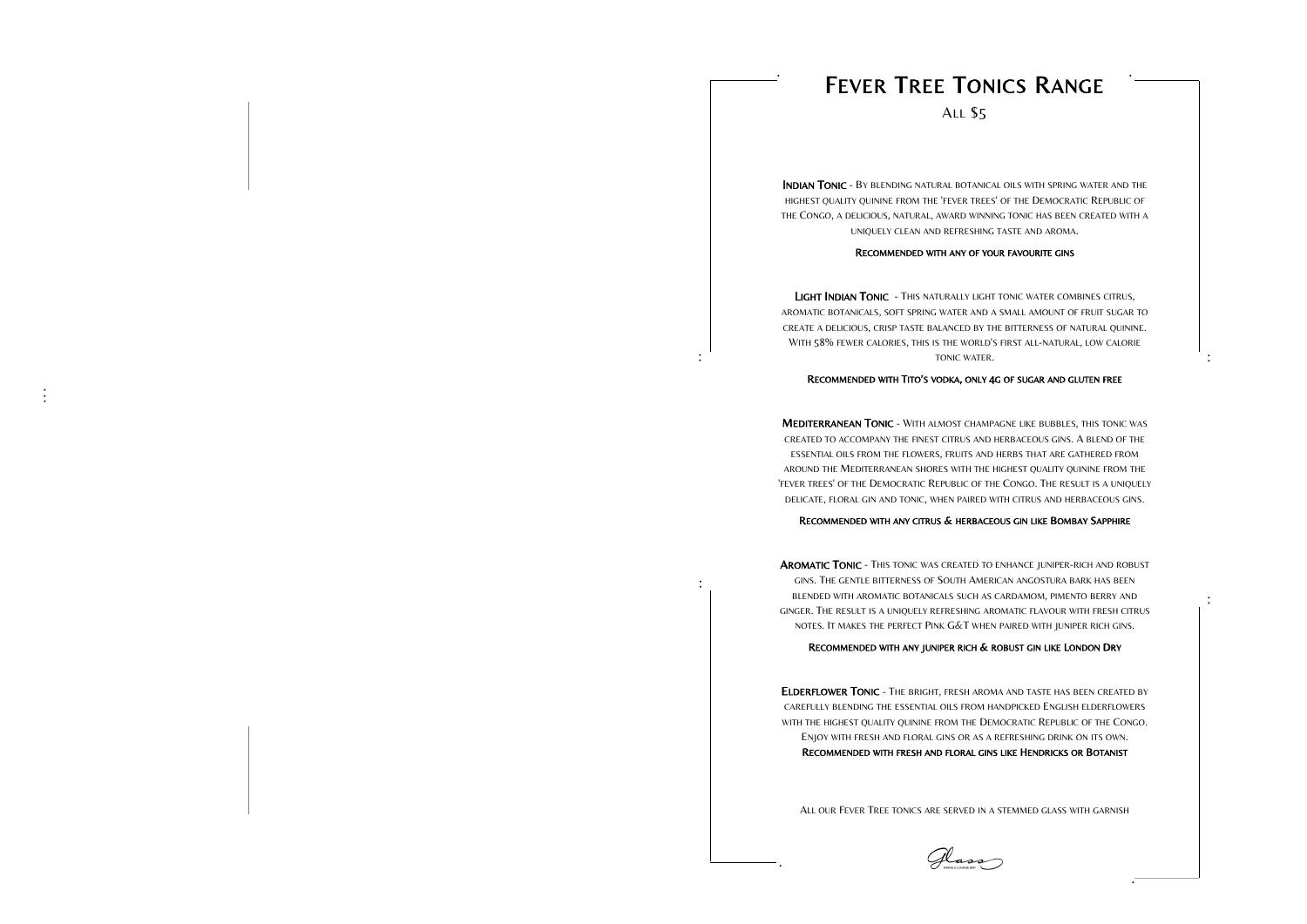**. . .**

# FEVER TREE TONICS RANGE

ALL \$5

INDIAN TONIC - BY BLENDING NATURAL BOTANICAL OILS WITH SPRING WATER AND THE HIGHEST QUALITY QUININE FROM THE 'FEVER TREES' OF THE DEMOCRATIC REPUBLIC OF THE CONGO, A DELICIOUS, NATURAL, AWARD WINNING TONIC HAS BEEN CREATED WITH A UNIQUELY CLEAN AND REFRESHING TASTE AND AROMA.<br>RECOMMENDED WITH ANY OF YOUR FAVOURITE GINS

LIGHT INDIAN TONIC - THIS NATURALLY LIGHT TONIC WATER COMBINES CITRUS, AROMATIC BOTANICALS, SOFT SPRING WATER AND A SMALL AMOUNT OF FRUIT SUGAR TO CREATE A DELICIOUS, CRISP TASTE BALANCED BY THE BITTERNESS OF NATURAL QUININE. WITH 58% FEWER CALORIES, THIS IS THE WORLD'S FIRST ALL -NATURAL, LOW CALORIE TONIC WATER .

#### RECOMMENDED WITH TITO ' S VODKA, ONLY 4 G OF SUGAR AND GLUTEN FREE

AROMATIC TONIC - THIS TONIC WAS CREATED TO ENHANCE JUNIPER-RICH AND ROBUST GINS. THE GENTLE BITTERNESS OF SOUTH AMERICAN ANGOSTURA BARK HAS BEEN BLENDED WITH AROMATIC BOTANICALS SUCH AS CARDAMOM, PIMENTO BERRY AND GINGER. THE RESULT IS A UNIQUELY REFRESHING AROMATIC FLAVOUR WITH FRESH CITRUS NOTES. I T MAKES THE PERFECT PINK G&T WHEN PAIRED WITH JUNIPER RICH GINS.

MEDITERRANEAN TONIC - WITH ALMOST CHAMPAGNE LIKE BUBBLES, THIS TONIC WAS CREATED TO ACCOMPANY THE FINEST CITRUS AND HERBACEOUS GINS. A BLEND OF THE ESSENTIAL OILS FROM THE FLOWERS, FRUITS AND HERBS THAT ARE GATHERED FROM AROUND THE MEDITERRANEAN SHORES WITH THE HIGHEST QUALITY QUININE FROM THE 'FEVER TREES' OF THE DEMOCRATIC REPUBLIC OF THE CONGO. THE RESULT IS A UNIQUELY DELICATE, FLORAL GIN AND TONIC, WHEN PAIRED WITH CITRUS AND HERBACEOUS GINS.

ELDERFLOWER TONIC - THE BRIGHT, FRESH AROMA AND TASTE HAS BEEN CREATED BY CAREFULLY BLENDING THE ESSENTIAL OILS FROM HANDPICKED ENGLISH ELDERFLOWERS WITH THE HIGHEST QUALITY QUININE FROM THE DEMOCRATIC REPUBLIC OF THE CONGO. ENJOY WITH FRESH AND FLORAL GINS OR AS A REFRESHING DRINK ON ITS OWN. RECOMMENDED WITH FRESH AND FLORAL GINS LIKE HENDRICKS OR BOTANIST

#### RECOMMENDED WITH ANY CITRUS & HERBACEOUS GIN LIKE BOMBAY SAPPHIRE

#### RECOMMENDED WITH ANY JUNIPER RICH & ROBUST GIN LIKE LONDON DRY

ALL OUR FEVER TREE TONICS ARE SERVED IN A STEMMED GLASS WITH GARNISH



**.**

**. .** 

**.**

**. .** 

**.**

**. .** 

**.**

**. .**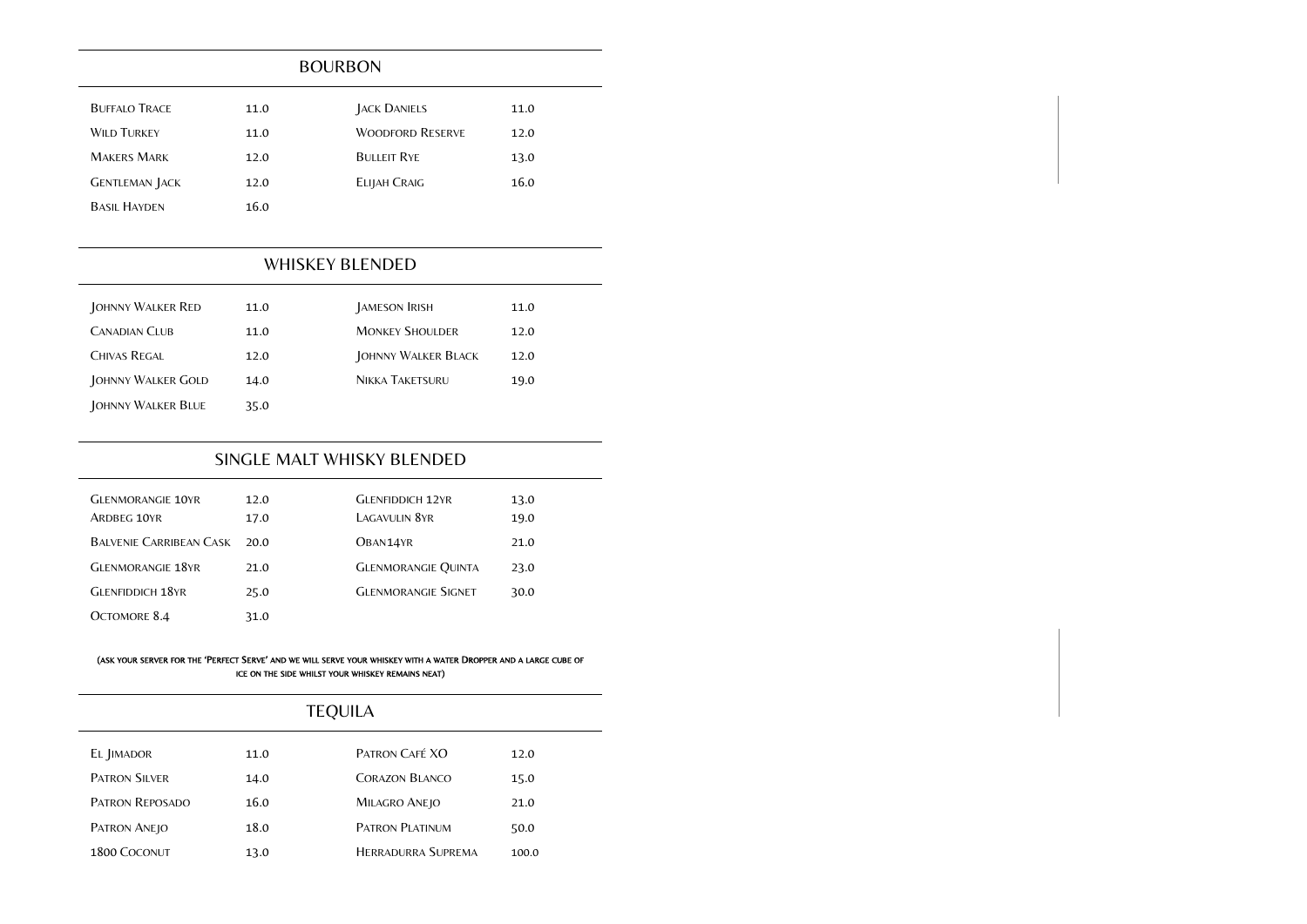| <b>BUFFALO TRACE</b>  | 11.0 | <b>JACK DANIELS</b>     | 11.0 |  |
|-----------------------|------|-------------------------|------|--|
| <b>WILD TURKEY</b>    | 11.0 | <b>WOODFORD RESERVE</b> | 12.0 |  |
| <b>MAKERS MARK</b>    | 12.0 | <b>BULLEIT RYE</b>      | 13.0 |  |
| <b>GENTLEMAN JACK</b> | 12.0 | ELIJAH CRAIG            | 16.0 |  |
| <b>BASIL HAYDEN</b>   | 16.0 |                         |      |  |

### BOURBON

## WHISKEY BLENDED

| JOHNNY WALKER RED    | 11.0 | JAMESON IRISH          | 11.0 |
|----------------------|------|------------------------|------|
| <b>CANADIAN CLUB</b> | 11.0 | <b>MONKEY SHOULDER</b> | 12.0 |
| <b>CHIVAS REGAL</b>  | 12.0 | JOHNNY WALKER BLACK    | 12.0 |
| JOHNNY WALKER GOLD   | 14.0 | <b>NIKKA TAKETSURU</b> | 19.0 |
| JOHNNY WALKER BLUE   | 35.0 |                        |      |

## SINGLE MALT WHISKY BLENDED

| <b>GLENMORANGIE 10YR</b><br>ARDBEG 10YR | 12.0<br>17.0 | <b>GLENFIDDICH 12YR</b><br>LAGAVULIN 8YR | 13.0<br>19.0 |
|-----------------------------------------|--------------|------------------------------------------|--------------|
| <b>BALVENIE CARRIBEAN CASK</b>          | 20.O         | OBAN14YR                                 | 21.0         |
| <b>GLENMORANGIE 18YR</b>                | 21.0         | <b>GLENMORANGIE QUINTA</b>               | 23.0         |
| <b>GLENFIDDICH 18YR</b>                 | 25.0         | <b>GLENMORANGIE SIGNET</b>               | 30.0         |
| OCTOMORE 8.4                            | 31.0         |                                          |              |

#### (ASK YOUR SERVER FOR THE 'PERFECT SERVE' AND WE WILL SERVE YOUR WHISKEY WITH A WATER DROPPER AND A LARGE CUBE OF ICE ON THE SIDE WHILST YOUR WHISKEY REMAINS NEAT)

| <b>TEQUILA</b>         |      |                           |       |  |
|------------------------|------|---------------------------|-------|--|
| EL JIMADOR             | 11.0 | PATRON CAFÉ XO            | 12.0  |  |
| <b>PATRON SILVER</b>   | 14.0 | <b>CORAZON BLANCO</b>     | 15.0  |  |
| <b>PATRON REPOSADO</b> | 16.0 | MILAGRO ANEJO             | 21.0  |  |
| PATRON ANEJO           | 18.0 | <b>PATRON PLATINUM</b>    | 50.0  |  |
| 1800 COCONUT           | 13.0 | <b>HERRADURRA SUPREMA</b> | 100.0 |  |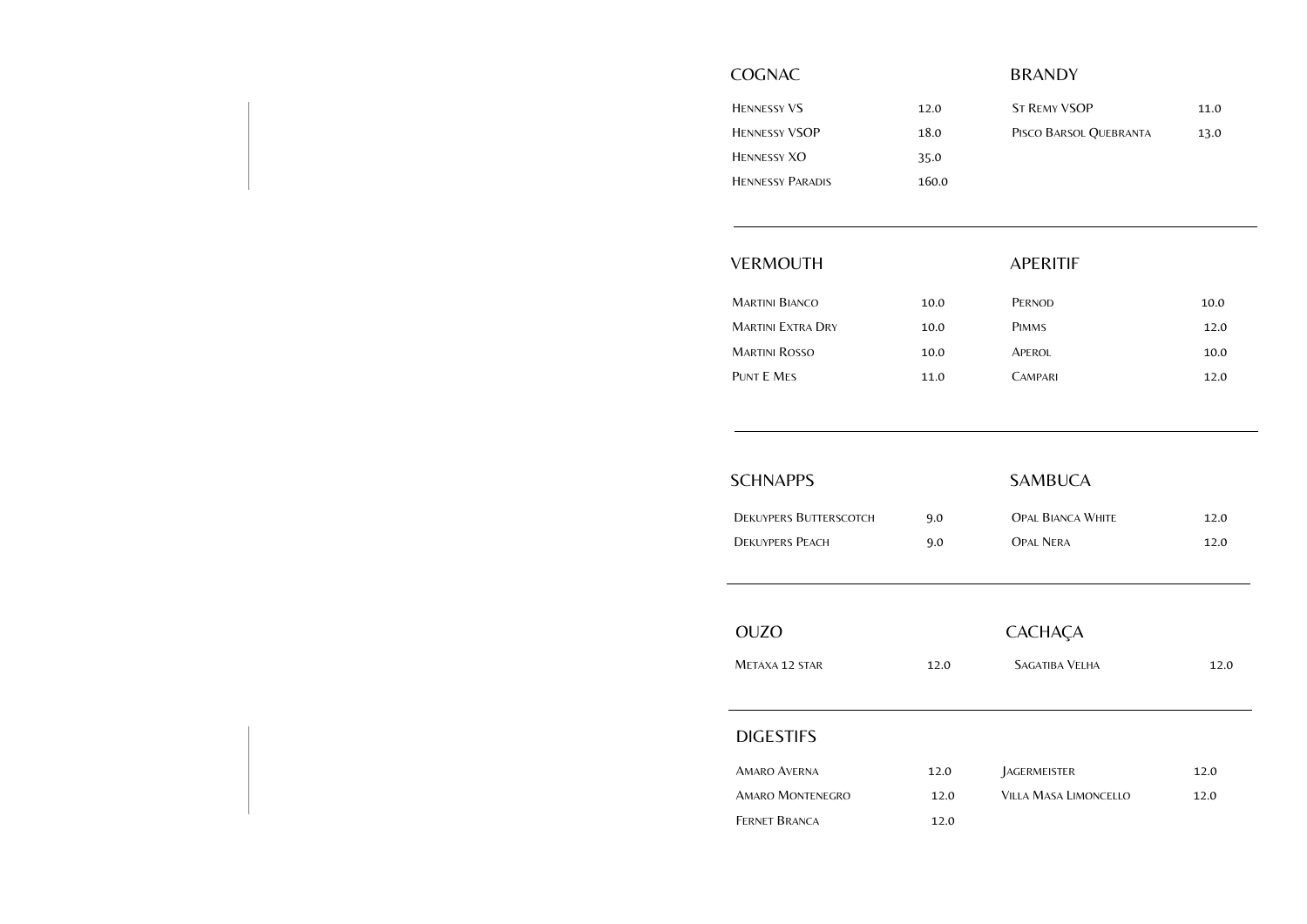| <b>HENNESSY VS</b>      | 12.0  |
|-------------------------|-------|
| <b>HENNESSY VSOP</b>    | 18.0  |
| <b>HENNESSY XO</b>      | 35.0  |
| <b>HENNESSY PARADIS</b> | 160.0 |

## VERMOUTH APERITIF

| <b>ST REMY VSOP</b>    | 11.0 |
|------------------------|------|
| PISCO BARSOL QUEBRANTA | 13.0 |

| MARTINI BIANCO           | 10.0 |
|--------------------------|------|
| <b>MARTINI EXTRA DRY</b> | 10.0 |
| <b>MARTINI ROSSO</b>     | 10.0 |
| PUNT E MES               | 11.0 |

| 10.0 |
|------|
| 12.0 |
| 10.0 |
| 12.0 |
|      |

## SCHNAPPS SAMBUCA

| <b>DEKUYPERS BUTTERSCOTCH</b> | 9.0 |
|-------------------------------|-----|
| <b>DEKUYPERS PEACH</b>        | 9.0 |

METAXA 12 STAR 12.0 SAGATIBA VELHA 12.0

| <b>OPAL BIANCA WHITE</b> | 12.0 |
|--------------------------|------|
| OPAL NERA                | 12.0 |

## OUZO CACHAÇA

| <b>SAGATIBA VELHA</b> |
|-----------------------|
|-----------------------|

## DIGESTIFS

| <b>AMARO AVERNA</b>     | 12.0 |
|-------------------------|------|
| <b>AMARO MONTENEGRO</b> | 12.0 |
| FERNET BRANCA           | 12.0 |

## COGNAC BRANDY

| AGERMEISTER           | 12.0 |
|-----------------------|------|
| Villa Masa Limoncello | 12.0 |